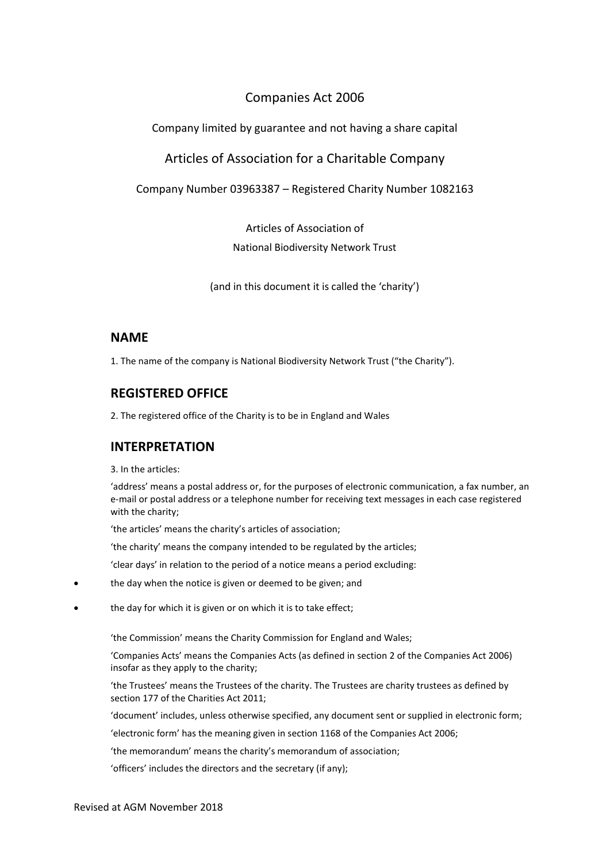# Companies Act 2006

# Company limited by guarantee and not having a share capital

# Articles of Association for a Charitable Company

Company Number 03963387 – Registered Charity Number 1082163

Articles of Association of

National Biodiversity Network Trust

(and in this document it is called the 'charity')

# **NAME**

1. The name of the company is National Biodiversity Network Trust ("the Charity").

# **REGISTERED OFFICE**

2. The registered office of the Charity is to be in England and Wales

# **INTERPRETATION**

3. In the articles:

'address' means a postal address or, for the purposes of electronic communication, a fax number, an e-mail or postal address or a telephone number for receiving text messages in each case registered with the charity;

'the articles' means the charity's articles of association;

'the charity' means the company intended to be regulated by the articles;

'clear days' in relation to the period of a notice means a period excluding:

- the day when the notice is given or deemed to be given; and
- the day for which it is given or on which it is to take effect;

'the Commission' means the Charity Commission for England and Wales;

'Companies Acts' means the Companies Acts (as defined in section 2 of the Companies Act 2006) insofar as they apply to the charity;

'the Trustees' means the Trustees of the charity. The Trustees are charity trustees as defined by section 177 of the Charities Act 2011;

'document' includes, unless otherwise specified, any document sent or supplied in electronic form;

'electronic form' has the meaning given in section 1168 of the Companies Act 2006;

'the memorandum' means the charity's memorandum of association;

'officers' includes the directors and the secretary (if any);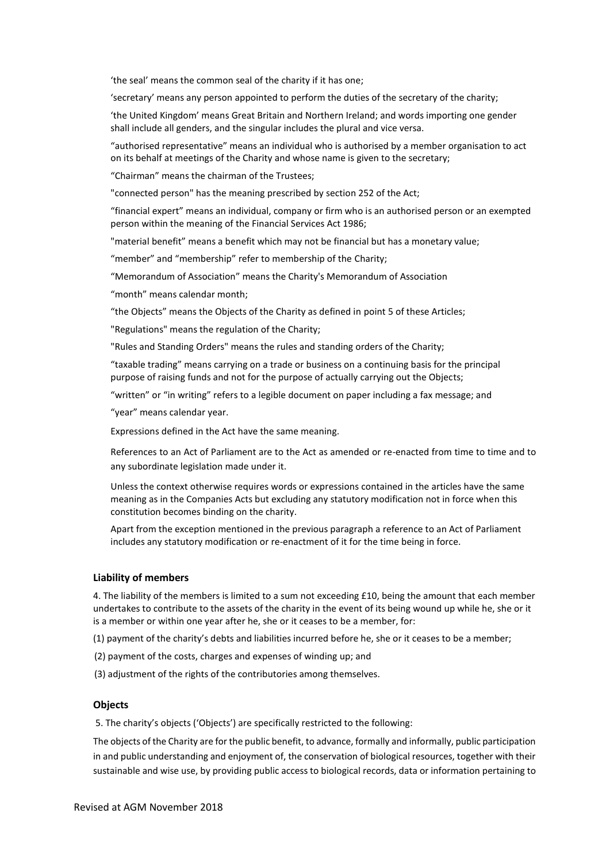'the seal' means the common seal of the charity if it has one;

'secretary' means any person appointed to perform the duties of the secretary of the charity;

'the United Kingdom' means Great Britain and Northern Ireland; and words importing one gender shall include all genders, and the singular includes the plural and vice versa.

"authorised representative" means an individual who is authorised by a member organisation to act on its behalf at meetings of the Charity and whose name is given to the secretary;

"Chairman" means the chairman of the Trustees;

"connected person" has the meaning prescribed by section 252 of the Act;

"financial expert" means an individual, company or firm who is an authorised person or an exempted person within the meaning of the Financial Services Act 1986;

"material benefit" means a benefit which may not be financial but has a monetary value;

"member" and "membership" refer to membership of the Charity;

"Memorandum of Association" means the Charity's Memorandum of Association

"month" means calendar month;

"the Objects" means the Objects of the Charity as defined in point 5 of these Articles;

"Regulations" means the regulation of the Charity;

"Rules and Standing Orders" means the rules and standing orders of the Charity;

"taxable trading" means carrying on a trade or business on a continuing basis for the principal purpose of raising funds and not for the purpose of actually carrying out the Objects;

"written" or "in writing" refers to a legible document on paper including a fax message; and

"year" means calendar year.

Expressions defined in the Act have the same meaning.

References to an Act of Parliament are to the Act as amended or re-enacted from time to time and to any subordinate legislation made under it.

Unless the context otherwise requires words or expressions contained in the articles have the same meaning as in the Companies Acts but excluding any statutory modification not in force when this constitution becomes binding on the charity.

Apart from the exception mentioned in the previous paragraph a reference to an Act of Parliament includes any statutory modification or re-enactment of it for the time being in force.

### **Liability of members**

4. The liability of the members is limited to a sum not exceeding £10, being the amount that each member undertakes to contribute to the assets of the charity in the event of its being wound up while he, she or it is a member or within one year after he, she or it ceases to be a member, for:

(1) payment of the charity's debts and liabilities incurred before he, she or it ceases to be a member;

- (2) payment of the costs, charges and expenses of winding up; and
- (3) adjustment of the rights of the contributories among themselves.

### **Objects**

5. The charity's objects ('Objects') are specifically restricted to the following:

The objects of the Charity are for the public benefit, to advance, formally and informally, public participation in and public understanding and enjoyment of, the conservation of biological resources, together with their sustainable and wise use, by providing public access to biological records, data or information pertaining to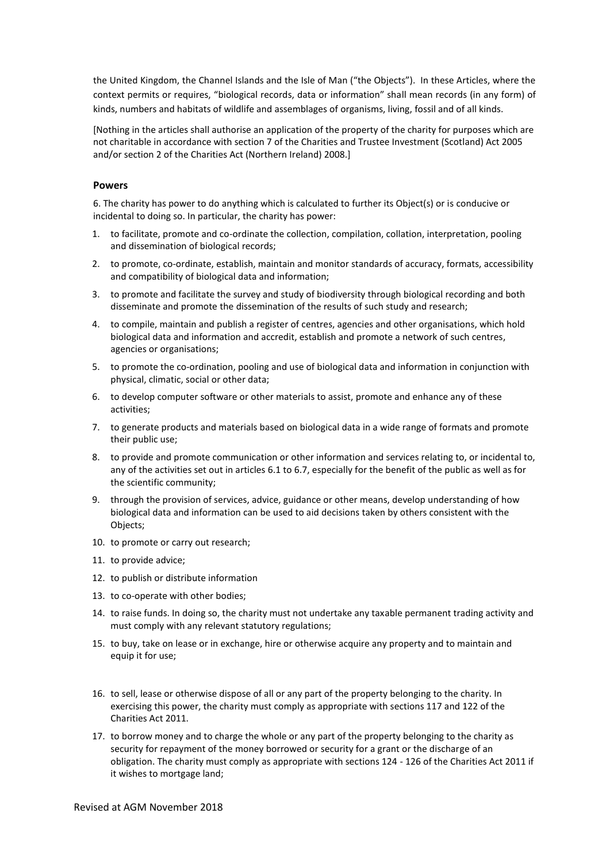the United Kingdom, the Channel Islands and the Isle of Man ("the Objects"). In these Articles, where the context permits or requires, "biological records, data or information" shall mean records (in any form) of kinds, numbers and habitats of wildlife and assemblages of organisms, living, fossil and of all kinds.

[Nothing in the articles shall authorise an application of the property of the charity for purposes which are not charitable in accordance with section 7 of the Charities and Trustee Investment (Scotland) Act 2005 and/or section 2 of the Charities Act (Northern Ireland) 2008.]

#### **Powers**

6. The charity has power to do anything which is calculated to further its Object(s) or is conducive or incidental to doing so. In particular, the charity has power:

- 1. to facilitate, promote and co-ordinate the collection, compilation, collation, interpretation, pooling and dissemination of biological records;
- 2. to promote, co-ordinate, establish, maintain and monitor standards of accuracy, formats, accessibility and compatibility of biological data and information;
- 3. to promote and facilitate the survey and study of biodiversity through biological recording and both disseminate and promote the dissemination of the results of such study and research;
- 4. to compile, maintain and publish a register of centres, agencies and other organisations, which hold biological data and information and accredit, establish and promote a network of such centres, agencies or organisations;
- 5. to promote the co-ordination, pooling and use of biological data and information in conjunction with physical, climatic, social or other data;
- 6. to develop computer software or other materials to assist, promote and enhance any of these activities;
- 7. to generate products and materials based on biological data in a wide range of formats and promote their public use;
- 8. to provide and promote communication or other information and services relating to, or incidental to, any of the activities set out in articles 6.1 to 6.7, especially for the benefit of the public as well as for the scientific community;
- 9. through the provision of services, advice, guidance or other means, develop understanding of how biological data and information can be used to aid decisions taken by others consistent with the Objects;
- 10. to promote or carry out research;
- 11. to provide advice;
- 12. to publish or distribute information
- 13. to co-operate with other bodies;
- 14. to raise funds. In doing so, the charity must not undertake any taxable permanent trading activity and must comply with any relevant statutory regulations;
- 15. to buy, take on lease or in exchange, hire or otherwise acquire any property and to maintain and equip it for use;
- 16. to sell, lease or otherwise dispose of all or any part of the property belonging to the charity. In exercising this power, the charity must comply as appropriate with sections 117 and 122 of the Charities Act 2011.
- 17. to borrow money and to charge the whole or any part of the property belonging to the charity as security for repayment of the money borrowed or security for a grant or the discharge of an obligation. The charity must comply as appropriate with sections 124 - 126 of the Charities Act 2011 if it wishes to mortgage land;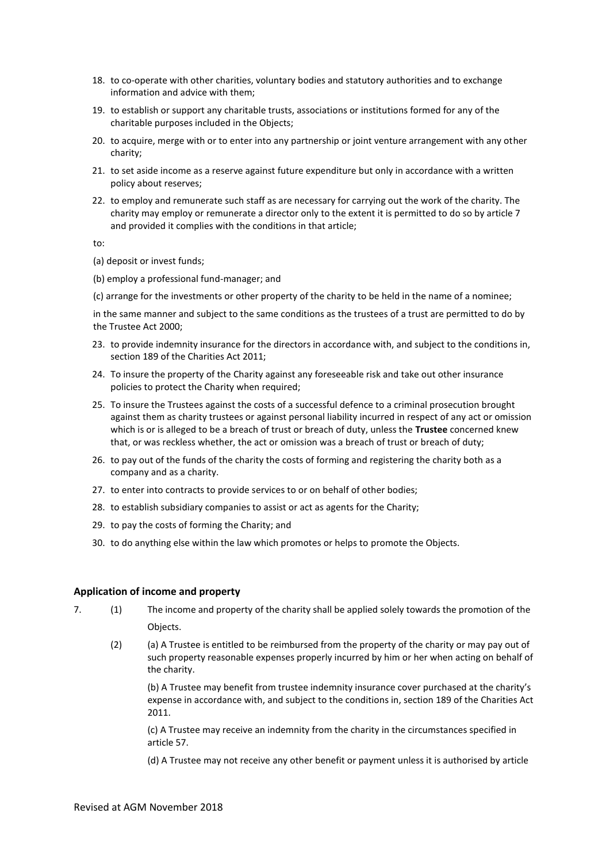- 18. to co-operate with other charities, voluntary bodies and statutory authorities and to exchange information and advice with them;
- 19. to establish or support any charitable trusts, associations or institutions formed for any of the charitable purposes included in the Objects;
- 20. to acquire, merge with or to enter into any partnership or joint venture arrangement with any other charity;
- 21. to set aside income as a reserve against future expenditure but only in accordance with a written policy about reserves;
- 22. to employ and remunerate such staff as are necessary for carrying out the work of the charity. The charity may employ or remunerate a director only to the extent it is permitted to do so by article 7 and provided it complies with the conditions in that article;

to:

- (a) deposit or invest funds;
- (b) employ a professional fund-manager; and
- (c) arrange for the investments or other property of the charity to be held in the name of a nominee;

in the same manner and subject to the same conditions as the trustees of a trust are permitted to do by the Trustee Act 2000;

- 23. to provide indemnity insurance for the directors in accordance with, and subject to the conditions in, section 189 of the Charities Act 2011;
- 24. To insure the property of the Charity against any foreseeable risk and take out other insurance policies to protect the Charity when required;
- 25. To insure the Trustees against the costs of a successful defence to a criminal prosecution brought against them as charity trustees or against personal liability incurred in respect of any act or omission which is or is alleged to be a breach of trust or breach of duty, unless the **Trustee** concerned knew that, or was reckless whether, the act or omission was a breach of trust or breach of duty;
- 26. to pay out of the funds of the charity the costs of forming and registering the charity both as a company and as a charity.
- 27. to enter into contracts to provide services to or on behalf of other bodies;
- 28. to establish subsidiary companies to assist or act as agents for the Charity;
- 29. to pay the costs of forming the Charity; and
- 30. to do anything else within the law which promotes or helps to promote the Objects.

#### **Application of income and property**

- 7. (1) The income and property of the charity shall be applied solely towards the promotion of the Objects.
	- (2) (a) A Trustee is entitled to be reimbursed from the property of the charity or may pay out of such property reasonable expenses properly incurred by him or her when acting on behalf of the charity.

(b) A Trustee may benefit from trustee indemnity insurance cover purchased at the charity's expense in accordance with, and subject to the conditions in, section 189 of the Charities Act 2011.

(c) A Trustee may receive an indemnity from the charity in the circumstances specified in article 57.

(d) A Trustee may not receive any other benefit or payment unless it is authorised by article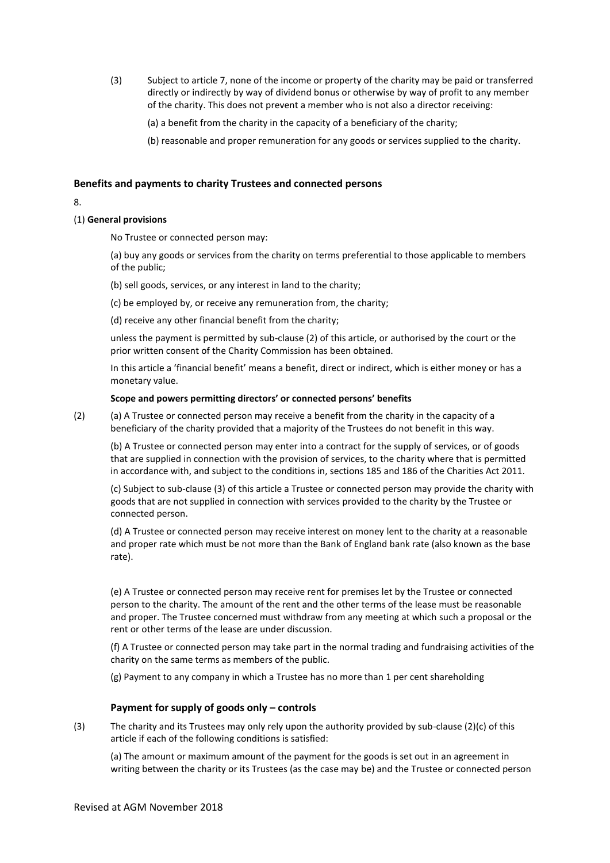(3) Subject to article 7, none of the income or property of the charity may be paid or transferred directly or indirectly by way of dividend bonus or otherwise by way of profit to any member of the charity. This does not prevent a member who is not also a director receiving:

(a) a benefit from the charity in the capacity of a beneficiary of the charity;

(b) reasonable and proper remuneration for any goods or services supplied to the charity.

### **Benefits and payments to charity Trustees and connected persons**

#### 8.

### (1) **General provisions**

No Trustee or connected person may:

(a) buy any goods or services from the charity on terms preferential to those applicable to members of the public;

- (b) sell goods, services, or any interest in land to the charity;
- (c) be employed by, or receive any remuneration from, the charity;

(d) receive any other financial benefit from the charity;

unless the payment is permitted by sub-clause (2) of this article, or authorised by the court or the prior written consent of the Charity Commission has been obtained.

In this article a 'financial benefit' means a benefit, direct or indirect, which is either money or has a monetary value.

#### **Scope and powers permitting directors' or connected persons' benefits**

(2) (a) A Trustee or connected person may receive a benefit from the charity in the capacity of a beneficiary of the charity provided that a majority of the Trustees do not benefit in this way.

(b) A Trustee or connected person may enter into a contract for the supply of services, or of goods that are supplied in connection with the provision of services, to the charity where that is permitted in accordance with, and subject to the conditions in, sections 185 and 186 of the Charities Act 2011.

(c) Subject to sub-clause (3) of this article a Trustee or connected person may provide the charity with goods that are not supplied in connection with services provided to the charity by the Trustee or connected person.

(d) A Trustee or connected person may receive interest on money lent to the charity at a reasonable and proper rate which must be not more than the Bank of England bank rate (also known as the base rate).

(e) A Trustee or connected person may receive rent for premises let by the Trustee or connected person to the charity. The amount of the rent and the other terms of the lease must be reasonable and proper. The Trustee concerned must withdraw from any meeting at which such a proposal or the rent or other terms of the lease are under discussion.

(f) A Trustee or connected person may take part in the normal trading and fundraising activities of the charity on the same terms as members of the public.

(g) Payment to any company in which a Trustee has no more than 1 per cent shareholding

### **Payment for supply of goods only – controls**

(3) The charity and its Trustees may only rely upon the authority provided by sub-clause (2)(c) of this article if each of the following conditions is satisfied:

(a) The amount or maximum amount of the payment for the goods is set out in an agreement in writing between the charity or its Trustees (as the case may be) and the Trustee or connected person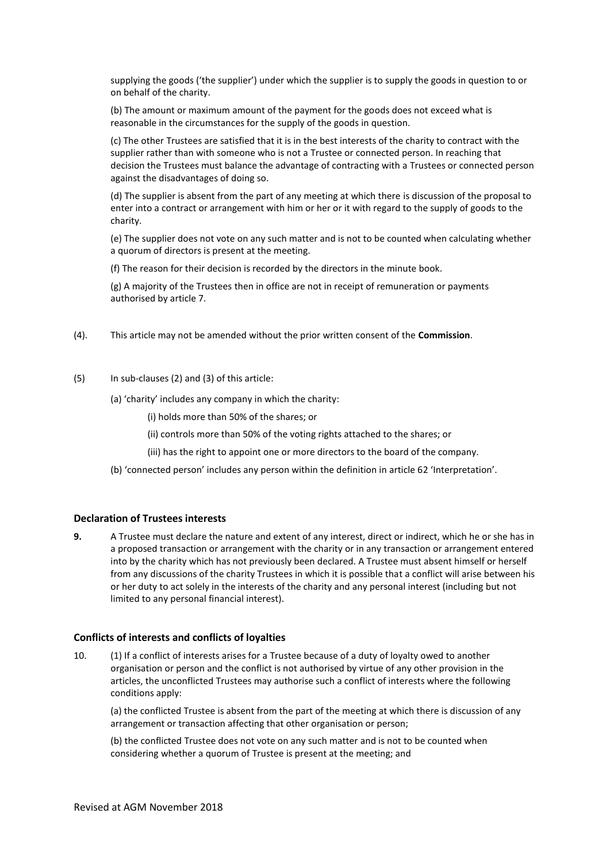supplying the goods ('the supplier') under which the supplier is to supply the goods in question to or on behalf of the charity.

(b) The amount or maximum amount of the payment for the goods does not exceed what is reasonable in the circumstances for the supply of the goods in question.

(c) The other Trustees are satisfied that it is in the best interests of the charity to contract with the supplier rather than with someone who is not a Trustee or connected person. In reaching that decision the Trustees must balance the advantage of contracting with a Trustees or connected person against the disadvantages of doing so.

(d) The supplier is absent from the part of any meeting at which there is discussion of the proposal to enter into a contract or arrangement with him or her or it with regard to the supply of goods to the charity.

(e) The supplier does not vote on any such matter and is not to be counted when calculating whether a quorum of directors is present at the meeting.

(f) The reason for their decision is recorded by the directors in the minute book.

(g) A majority of the Trustees then in office are not in receipt of remuneration or payments authorised by article 7.

- (4). This article may not be amended without the prior written consent of the **Commission**.
- (5) In sub-clauses (2) and (3) of this article:
	- (a) 'charity' includes any company in which the charity:
		- (i) holds more than 50% of the shares; or
		- (ii) controls more than 50% of the voting rights attached to the shares; or
		- (iii) has the right to appoint one or more directors to the board of the company.
	- (b) 'connected person' includes any person within the definition in article 62 'Interpretation'.

### **Declaration of Trustees interests**

**9.** A Trustee must declare the nature and extent of any interest, direct or indirect, which he or she has in a proposed transaction or arrangement with the charity or in any transaction or arrangement entered into by the charity which has not previously been declared. A Trustee must absent himself or herself from any discussions of the charity Trustees in which it is possible that a conflict will arise between his or her duty to act solely in the interests of the charity and any personal interest (including but not limited to any personal financial interest).

### **Conflicts of interests and conflicts of loyalties**

10. (1) If a conflict of interests arises for a Trustee because of a duty of loyalty owed to another organisation or person and the conflict is not authorised by virtue of any other provision in the articles, the unconflicted Trustees may authorise such a conflict of interests where the following conditions apply:

(a) the conflicted Trustee is absent from the part of the meeting at which there is discussion of any arrangement or transaction affecting that other organisation or person;

(b) the conflicted Trustee does not vote on any such matter and is not to be counted when considering whether a quorum of Trustee is present at the meeting; and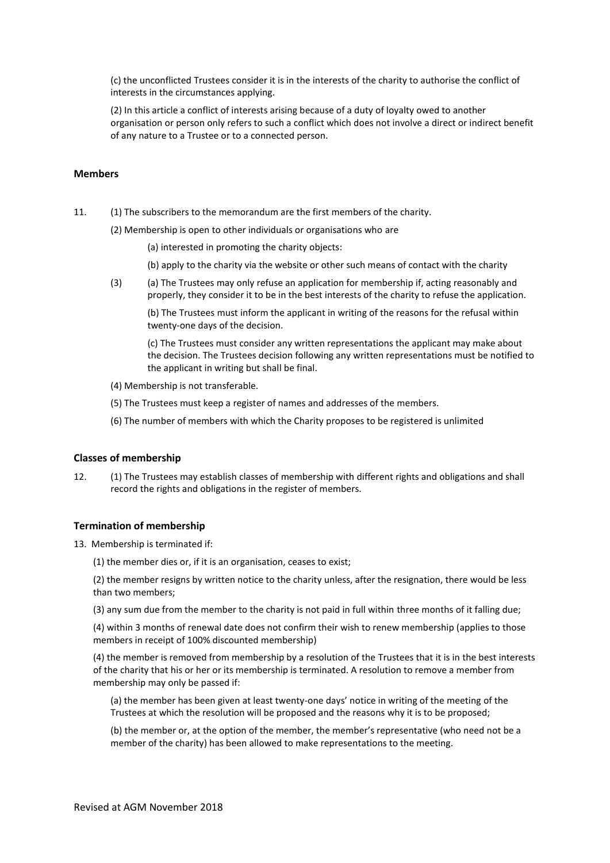(c) the unconflicted Trustees consider it is in the interests of the charity to authorise the conflict of interests in the circumstances applying.

(2) In this article a conflict of interests arising because of a duty of loyalty owed to another organisation or person only refers to such a conflict which does not involve a direct or indirect benefit of any nature to a Trustee or to a connected person.

### **Members**

11. (1) The subscribers to the memorandum are the first members of the charity.

(2) Membership is open to other individuals or organisations who are

(a) interested in promoting the charity objects:

- (b) apply to the charity via the website or other such means of contact with the charity
- (3) (a) The Trustees may only refuse an application for membership if, acting reasonably and properly, they consider it to be in the best interests of the charity to refuse the application.

(b) The Trustees must inform the applicant in writing of the reasons for the refusal within twenty-one days of the decision.

(c) The Trustees must consider any written representations the applicant may make about the decision. The Trustees decision following any written representations must be notified to the applicant in writing but shall be final.

- (4) Membership is not transferable.
- (5) The Trustees must keep a register of names and addresses of the members.
- (6) The number of members with which the Charity proposes to be registered is unlimited

#### **Classes of membership**

12. (1) The Trustees may establish classes of membership with different rights and obligations and shall record the rights and obligations in the register of members.

### **Termination of membership**

13. Membership is terminated if:

(1) the member dies or, if it is an organisation, ceases to exist;

(2) the member resigns by written notice to the charity unless, after the resignation, there would be less than two members;

(3) any sum due from the member to the charity is not paid in full within three months of it falling due;

(4) within 3 months of renewal date does not confirm their wish to renew membership (applies to those members in receipt of 100% discounted membership)

(4) the member is removed from membership by a resolution of the Trustees that it is in the best interests of the charity that his or her or its membership is terminated. A resolution to remove a member from membership may only be passed if:

(a) the member has been given at least twenty-one days' notice in writing of the meeting of the Trustees at which the resolution will be proposed and the reasons why it is to be proposed;

(b) the member or, at the option of the member, the member's representative (who need not be a member of the charity) has been allowed to make representations to the meeting.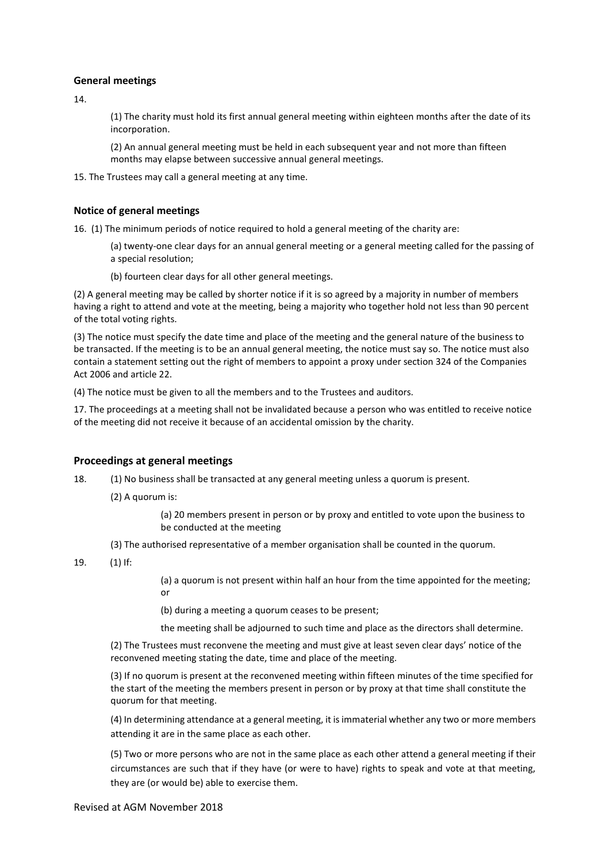### **General meetings**

14.

(1) The charity must hold its first annual general meeting within eighteen months after the date of its incorporation.

(2) An annual general meeting must be held in each subsequent year and not more than fifteen months may elapse between successive annual general meetings.

15. The Trustees may call a general meeting at any time.

### **Notice of general meetings**

16. (1) The minimum periods of notice required to hold a general meeting of the charity are:

(a) twenty-one clear days for an annual general meeting or a general meeting called for the passing of a special resolution;

(b) fourteen clear days for all other general meetings.

(2) A general meeting may be called by shorter notice if it is so agreed by a majority in number of members having a right to attend and vote at the meeting, being a majority who together hold not less than 90 percent of the total voting rights.

(3) The notice must specify the date time and place of the meeting and the general nature of the business to be transacted. If the meeting is to be an annual general meeting, the notice must say so. The notice must also contain a statement setting out the right of members to appoint a proxy under section 324 of the Companies Act 2006 and article 22.

(4) The notice must be given to all the members and to the Trustees and auditors.

17. The proceedings at a meeting shall not be invalidated because a person who was entitled to receive notice of the meeting did not receive it because of an accidental omission by the charity.

### **Proceedings at general meetings**

18. (1) No business shall be transacted at any general meeting unless a quorum is present.

(2) A quorum is:

(a) 20 members present in person or by proxy and entitled to vote upon the business to be conducted at the meeting

(3) The authorised representative of a member organisation shall be counted in the quorum.

### 19. (1) If:

(a) a quorum is not present within half an hour from the time appointed for the meeting; or

(b) during a meeting a quorum ceases to be present;

the meeting shall be adjourned to such time and place as the directors shall determine.

(2) The Trustees must reconvene the meeting and must give at least seven clear days' notice of the reconvened meeting stating the date, time and place of the meeting.

(3) If no quorum is present at the reconvened meeting within fifteen minutes of the time specified for the start of the meeting the members present in person or by proxy at that time shall constitute the quorum for that meeting.

(4) In determining attendance at a general meeting, it is immaterial whether any two or more members attending it are in the same place as each other.

(5) Two or more persons who are not in the same place as each other attend a general meeting if their circumstances are such that if they have (or were to have) rights to speak and vote at that meeting, they are (or would be) able to exercise them.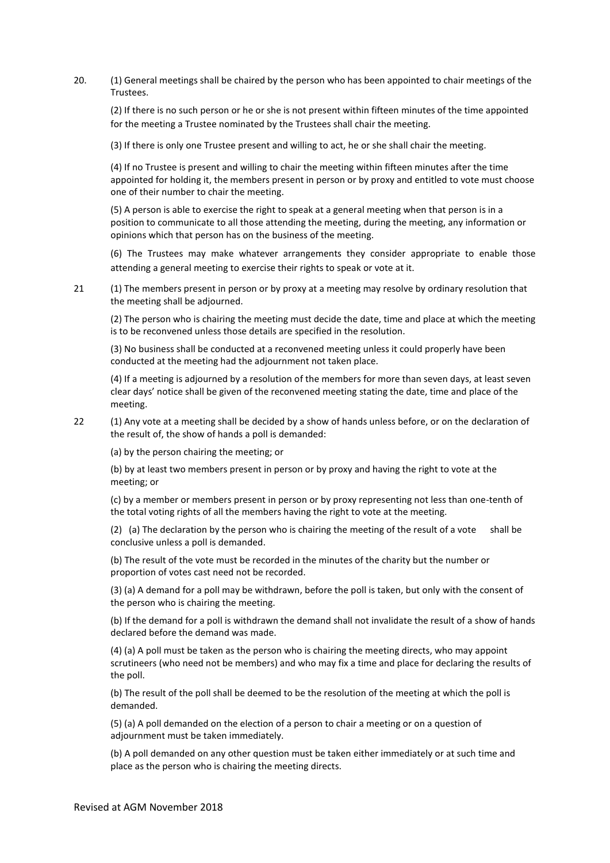20. (1) General meetings shall be chaired by the person who has been appointed to chair meetings of the Trustees.

(2) If there is no such person or he or she is not present within fifteen minutes of the time appointed for the meeting a Trustee nominated by the Trustees shall chair the meeting.

(3) If there is only one Trustee present and willing to act, he or she shall chair the meeting.

(4) If no Trustee is present and willing to chair the meeting within fifteen minutes after the time appointed for holding it, the members present in person or by proxy and entitled to vote must choose one of their number to chair the meeting.

(5) A person is able to exercise the right to speak at a general meeting when that person is in a position to communicate to all those attending the meeting, during the meeting, any information or opinions which that person has on the business of the meeting.

(6) The Trustees may make whatever arrangements they consider appropriate to enable those attending a general meeting to exercise their rights to speak or vote at it.

21 (1) The members present in person or by proxy at a meeting may resolve by ordinary resolution that the meeting shall be adjourned.

(2) The person who is chairing the meeting must decide the date, time and place at which the meeting is to be reconvened unless those details are specified in the resolution.

(3) No business shall be conducted at a reconvened meeting unless it could properly have been conducted at the meeting had the adjournment not taken place.

(4) If a meeting is adjourned by a resolution of the members for more than seven days, at least seven clear days' notice shall be given of the reconvened meeting stating the date, time and place of the meeting.

22 (1) Any vote at a meeting shall be decided by a show of hands unless before, or on the declaration of the result of, the show of hands a poll is demanded:

(a) by the person chairing the meeting; or

(b) by at least two members present in person or by proxy and having the right to vote at the meeting; or

(c) by a member or members present in person or by proxy representing not less than one-tenth of the total voting rights of all the members having the right to vote at the meeting.

(2) (a) The declaration by the person who is chairing the meeting of the result of a vote shall be conclusive unless a poll is demanded.

(b) The result of the vote must be recorded in the minutes of the charity but the number or proportion of votes cast need not be recorded.

(3) (a) A demand for a poll may be withdrawn, before the poll is taken, but only with the consent of the person who is chairing the meeting.

(b) If the demand for a poll is withdrawn the demand shall not invalidate the result of a show of hands declared before the demand was made.

(4) (a) A poll must be taken as the person who is chairing the meeting directs, who may appoint scrutineers (who need not be members) and who may fix a time and place for declaring the results of the poll.

(b) The result of the poll shall be deemed to be the resolution of the meeting at which the poll is demanded.

(5) (a) A poll demanded on the election of a person to chair a meeting or on a question of adjournment must be taken immediately.

(b) A poll demanded on any other question must be taken either immediately or at such time and place as the person who is chairing the meeting directs.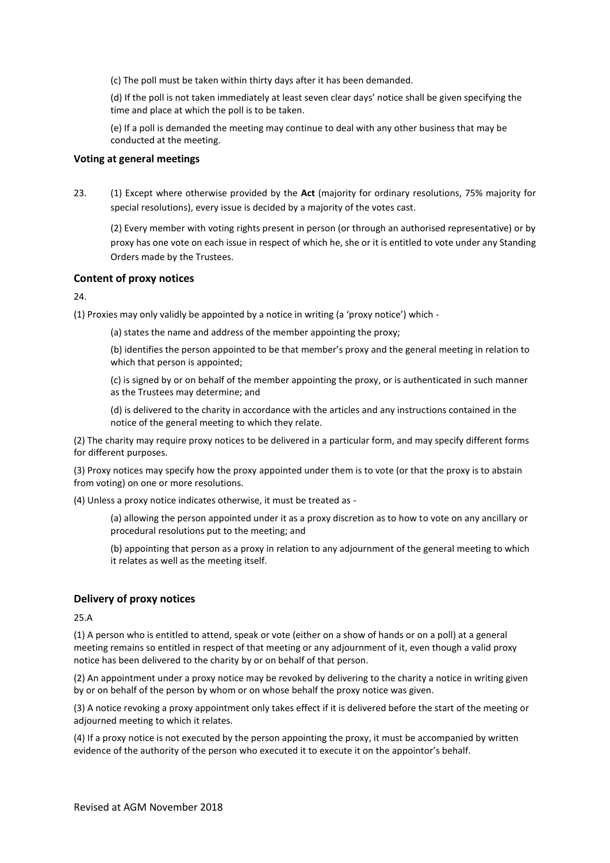(c) The poll must be taken within thirty days after it has been demanded.

(d) If the poll is not taken immediately at least seven clear days' notice shall be given specifying the time and place at which the poll is to be taken.

(e) If a poll is demanded the meeting may continue to deal with any other business that may be conducted at the meeting.

#### **Voting at general meetings**

23. (1) Except where otherwise provided by the **Act** (majority for ordinary resolutions, 75% majority for special resolutions), every issue is decided by a majority of the votes cast.

(2) Every member with voting rights present in person (or through an authorised representative) or by proxy has one vote on each issue in respect of which he, she or it is entitled to vote under any Standing Orders made by the Trustees.

### **Content of proxy notices**

24.

(1) Proxies may only validly be appointed by a notice in writing (a 'proxy notice') which -

(a) states the name and address of the member appointing the proxy;

(b) identifies the person appointed to be that member's proxy and the general meeting in relation to which that person is appointed;

(c) is signed by or on behalf of the member appointing the proxy, or is authenticated in such manner as the Trustees may determine; and

(d) is delivered to the charity in accordance with the articles and any instructions contained in the notice of the general meeting to which they relate.

(2) The charity may require proxy notices to be delivered in a particular form, and may specify different forms for different purposes.

(3) Proxy notices may specify how the proxy appointed under them is to vote (or that the proxy is to abstain from voting) on one or more resolutions.

(4) Unless a proxy notice indicates otherwise, it must be treated as -

(a) allowing the person appointed under it as a proxy discretion as to how to vote on any ancillary or procedural resolutions put to the meeting; and

(b) appointing that person as a proxy in relation to any adjournment of the general meeting to which it relates as well as the meeting itself.

### **Delivery of proxy notices**

25.A

(1) A person who is entitled to attend, speak or vote (either on a show of hands or on a poll) at a general meeting remains so entitled in respect of that meeting or any adjournment of it, even though a valid proxy notice has been delivered to the charity by or on behalf of that person.

(2) An appointment under a proxy notice may be revoked by delivering to the charity a notice in writing given by or on behalf of the person by whom or on whose behalf the proxy notice was given.

(3) A notice revoking a proxy appointment only takes effect if it is delivered before the start of the meeting or adjourned meeting to which it relates.

(4) If a proxy notice is not executed by the person appointing the proxy, it must be accompanied by written evidence of the authority of the person who executed it to execute it on the appointor's behalf.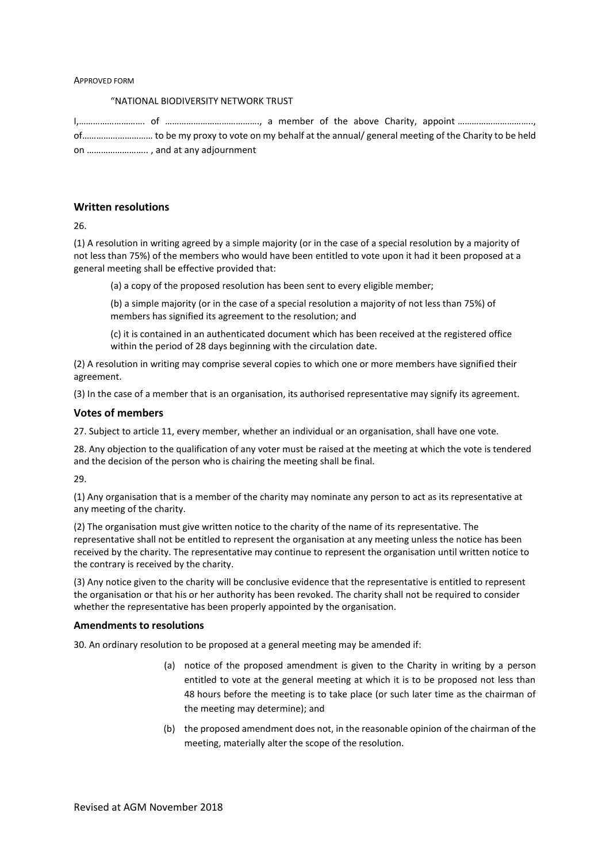#### APPROVED FORM

#### "NATIONAL BIODIVERSITY NETWORK TRUST

### **Written resolutions**

26.

(1) A resolution in writing agreed by a simple majority (or in the case of a special resolution by a majority of not less than 75%) of the members who would have been entitled to vote upon it had it been proposed at a general meeting shall be effective provided that:

(a) a copy of the proposed resolution has been sent to every eligible member;

(b) a simple majority (or in the case of a special resolution a majority of not less than 75%) of members has signified its agreement to the resolution; and

(c) it is contained in an authenticated document which has been received at the registered office within the period of 28 days beginning with the circulation date.

(2) A resolution in writing may comprise several copies to which one or more members have signified their agreement.

(3) In the case of a member that is an organisation, its authorised representative may signify its agreement.

#### **Votes of members**

27. Subject to article 11, every member, whether an individual or an organisation, shall have one vote.

28. Any objection to the qualification of any voter must be raised at the meeting at which the vote is tendered and the decision of the person who is chairing the meeting shall be final.

29.

(1) Any organisation that is a member of the charity may nominate any person to act as its representative at any meeting of the charity.

(2) The organisation must give written notice to the charity of the name of its representative. The representative shall not be entitled to represent the organisation at any meeting unless the notice has been received by the charity. The representative may continue to represent the organisation until written notice to the contrary is received by the charity.

(3) Any notice given to the charity will be conclusive evidence that the representative is entitled to represent the organisation or that his or her authority has been revoked. The charity shall not be required to consider whether the representative has been properly appointed by the organisation.

#### **Amendments to resolutions**

30. An ordinary resolution to be proposed at a general meeting may be amended if:

- (a) notice of the proposed amendment is given to the Charity in writing by a person entitled to vote at the general meeting at which it is to be proposed not less than 48 hours before the meeting is to take place (or such later time as the chairman of the meeting may determine); and
- (b) the proposed amendment does not, in the reasonable opinion of the chairman of the meeting, materially alter the scope of the resolution.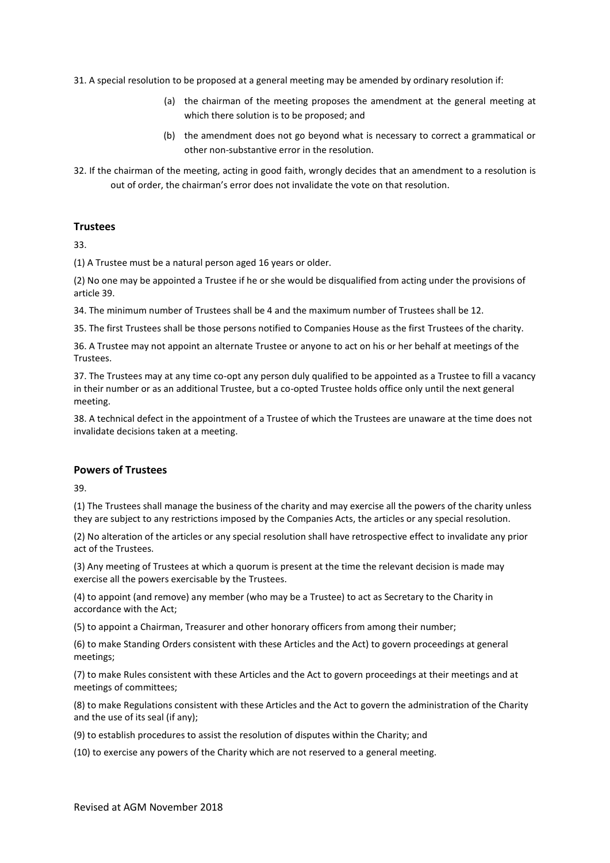31. A special resolution to be proposed at a general meeting may be amended by ordinary resolution if:

- (a) the chairman of the meeting proposes the amendment at the general meeting at which there solution is to be proposed; and
- (b) the amendment does not go beyond what is necessary to correct a grammatical or other non-substantive error in the resolution.
- 32. If the chairman of the meeting, acting in good faith, wrongly decides that an amendment to a resolution is out of order, the chairman's error does not invalidate the vote on that resolution.

### **Trustees**

33.

(1) A Trustee must be a natural person aged 16 years or older.

(2) No one may be appointed a Trustee if he or she would be disqualified from acting under the provisions of article 39.

34. The minimum number of Trustees shall be 4 and the maximum number of Trustees shall be 12.

35. The first Trustees shall be those persons notified to Companies House as the first Trustees of the charity.

36. A Trustee may not appoint an alternate Trustee or anyone to act on his or her behalf at meetings of the Trustees.

37. The Trustees may at any time co-opt any person duly qualified to be appointed as a Trustee to fill a vacancy in their number or as an additional Trustee, but a co-opted Trustee holds office only until the next general meeting.

38. A technical defect in the appointment of a Trustee of which the Trustees are unaware at the time does not invalidate decisions taken at a meeting.

### **Powers of Trustees**

39.

(1) The Trustees shall manage the business of the charity and may exercise all the powers of the charity unless they are subject to any restrictions imposed by the Companies Acts, the articles or any special resolution.

(2) No alteration of the articles or any special resolution shall have retrospective effect to invalidate any prior act of the Trustees.

(3) Any meeting of Trustees at which a quorum is present at the time the relevant decision is made may exercise all the powers exercisable by the Trustees.

(4) to appoint (and remove) any member (who may be a Trustee) to act as Secretary to the Charity in accordance with the Act;

(5) to appoint a Chairman, Treasurer and other honorary officers from among their number;

(6) to make Standing Orders consistent with these Articles and the Act) to govern proceedings at general meetings;

(7) to make Rules consistent with these Articles and the Act to govern proceedings at their meetings and at meetings of committees;

(8) to make Regulations consistent with these Articles and the Act to govern the administration of the Charity and the use of its seal (if any);

(9) to establish procedures to assist the resolution of disputes within the Charity; and

(10) to exercise any powers of the Charity which are not reserved to a general meeting.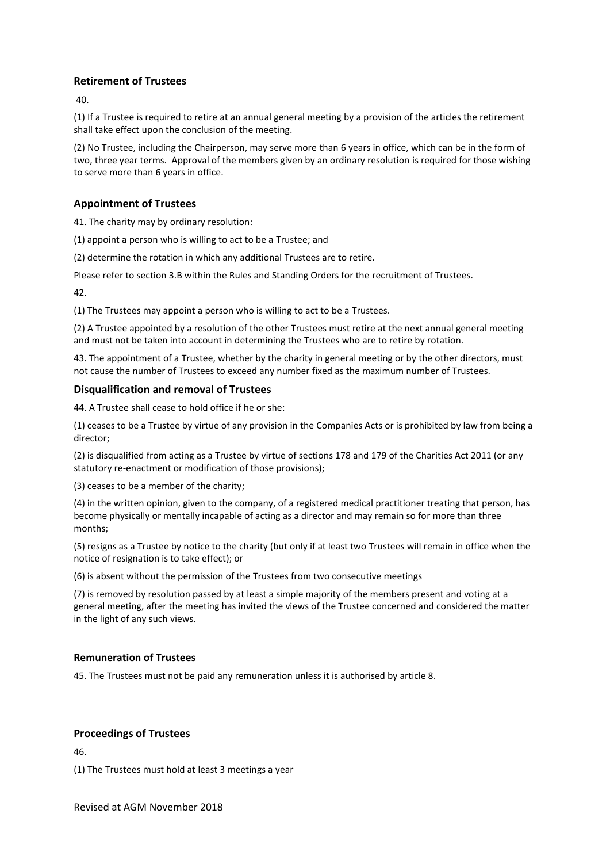# **Retirement of Trustees**

 $\overline{10}$ 

(1) If a Trustee is required to retire at an annual general meeting by a provision of the articles the retirement shall take effect upon the conclusion of the meeting.

(2) No Trustee, including the Chairperson, may serve more than 6 years in office, which can be in the form of two, three year terms. Approval of the members given by an ordinary resolution is required for those wishing to serve more than 6 years in office.

# **Appointment of Trustees**

41. The charity may by ordinary resolution:

(1) appoint a person who is willing to act to be a Trustee; and

(2) determine the rotation in which any additional Trustees are to retire.

Please refer to section 3.B within the Rules and Standing Orders for the recruitment of Trustees.

42.

(1) The Trustees may appoint a person who is willing to act to be a Trustees.

(2) A Trustee appointed by a resolution of the other Trustees must retire at the next annual general meeting and must not be taken into account in determining the Trustees who are to retire by rotation.

43. The appointment of a Trustee, whether by the charity in general meeting or by the other directors, must not cause the number of Trustees to exceed any number fixed as the maximum number of Trustees.

# **Disqualification and removal of Trustees**

44. A Trustee shall cease to hold office if he or she:

(1) ceases to be a Trustee by virtue of any provision in the Companies Acts or is prohibited by law from being a director;

(2) is disqualified from acting as a Trustee by virtue of sections 178 and 179 of the Charities Act 2011 (or any statutory re-enactment or modification of those provisions);

(3) ceases to be a member of the charity;

(4) in the written opinion, given to the company, of a registered medical practitioner treating that person, has become physically or mentally incapable of acting as a director and may remain so for more than three months;

(5) resigns as a Trustee by notice to the charity (but only if at least two Trustees will remain in office when the notice of resignation is to take effect); or

(6) is absent without the permission of the Trustees from two consecutive meetings

(7) is removed by resolution passed by at least a simple majority of the members present and voting at a general meeting, after the meeting has invited the views of the Trustee concerned and considered the matter in the light of any such views.

# **Remuneration of Trustees**

45. The Trustees must not be paid any remuneration unless it is authorised by article 8.

# **Proceedings of Trustees**

46.

(1) The Trustees must hold at least 3 meetings a year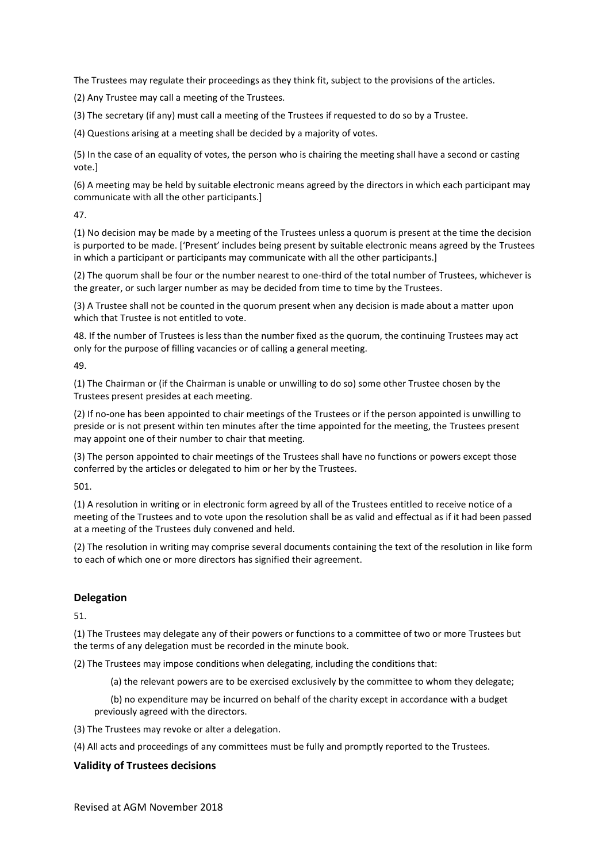The Trustees may regulate their proceedings as they think fit, subject to the provisions of the articles.

(2) Any Trustee may call a meeting of the Trustees.

(3) The secretary (if any) must call a meeting of the Trustees if requested to do so by a Trustee.

(4) Questions arising at a meeting shall be decided by a majority of votes.

(5) In the case of an equality of votes, the person who is chairing the meeting shall have a second or casting vote.]

(6) A meeting may be held by suitable electronic means agreed by the directors in which each participant may communicate with all the other participants.]

47.

(1) No decision may be made by a meeting of the Trustees unless a quorum is present at the time the decision is purported to be made. ['Present' includes being present by suitable electronic means agreed by the Trustees in which a participant or participants may communicate with all the other participants.]

(2) The quorum shall be four or the number nearest to one-third of the total number of Trustees, whichever is the greater, or such larger number as may be decided from time to time by the Trustees.

(3) A Trustee shall not be counted in the quorum present when any decision is made about a matter upon which that Trustee is not entitled to vote.

48. If the number of Trustees is less than the number fixed as the quorum, the continuing Trustees may act only for the purpose of filling vacancies or of calling a general meeting.

49.

(1) The Chairman or (if the Chairman is unable or unwilling to do so) some other Trustee chosen by the Trustees present presides at each meeting.

(2) If no-one has been appointed to chair meetings of the Trustees or if the person appointed is unwilling to preside or is not present within ten minutes after the time appointed for the meeting, the Trustees present may appoint one of their number to chair that meeting.

(3) The person appointed to chair meetings of the Trustees shall have no functions or powers except those conferred by the articles or delegated to him or her by the Trustees.

501.

(1) A resolution in writing or in electronic form agreed by all of the Trustees entitled to receive notice of a meeting of the Trustees and to vote upon the resolution shall be as valid and effectual as if it had been passed at a meeting of the Trustees duly convened and held.

(2) The resolution in writing may comprise several documents containing the text of the resolution in like form to each of which one or more directors has signified their agreement.

# **Delegation**

51.

(1) The Trustees may delegate any of their powers or functions to a committee of two or more Trustees but the terms of any delegation must be recorded in the minute book.

(2) The Trustees may impose conditions when delegating, including the conditions that:

(a) the relevant powers are to be exercised exclusively by the committee to whom they delegate;

(b) no expenditure may be incurred on behalf of the charity except in accordance with a budget previously agreed with the directors.

(3) The Trustees may revoke or alter a delegation.

(4) All acts and proceedings of any committees must be fully and promptly reported to the Trustees.

# **Validity of Trustees decisions**

Revised at AGM November 2018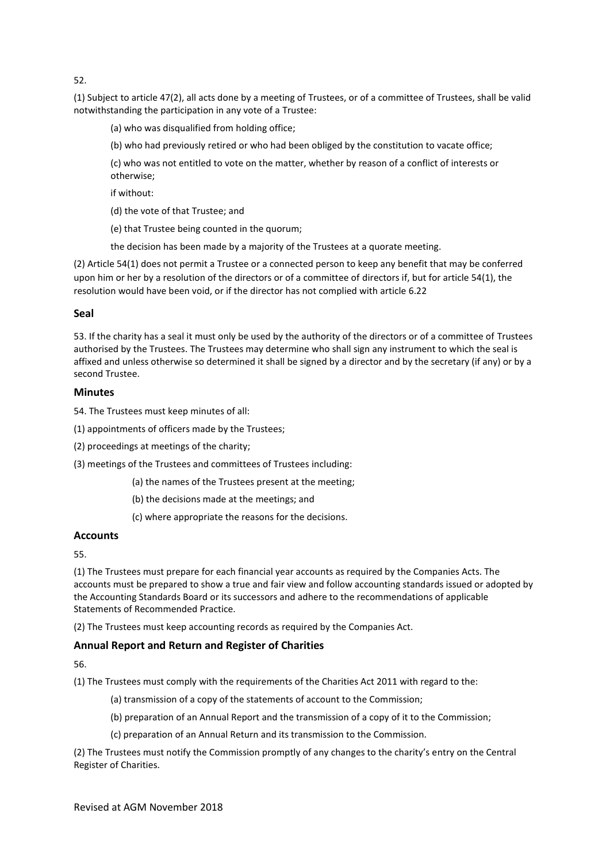52.

(1) Subject to article 47(2), all acts done by a meeting of Trustees, or of a committee of Trustees, shall be valid notwithstanding the participation in any vote of a Trustee:

(a) who was disqualified from holding office;

(b) who had previously retired or who had been obliged by the constitution to vacate office;

(c) who was not entitled to vote on the matter, whether by reason of a conflict of interests or otherwise;

if without:

(d) the vote of that Trustee; and

(e) that Trustee being counted in the quorum;

the decision has been made by a majority of the Trustees at a quorate meeting.

(2) Article 54(1) does not permit a Trustee or a connected person to keep any benefit that may be conferred upon him or her by a resolution of the directors or of a committee of directors if, but for article 54(1), the resolution would have been void, or if the director has not complied with article 6.22

### **Seal**

53. If the charity has a seal it must only be used by the authority of the directors or of a committee of Trustees authorised by the Trustees. The Trustees may determine who shall sign any instrument to which the seal is affixed and unless otherwise so determined it shall be signed by a director and by the secretary (if any) or by a second Trustee.

### **Minutes**

54. The Trustees must keep minutes of all:

- (1) appointments of officers made by the Trustees;
- (2) proceedings at meetings of the charity;
- (3) meetings of the Trustees and committees of Trustees including:
	- (a) the names of the Trustees present at the meeting;
	- (b) the decisions made at the meetings; and
	- (c) where appropriate the reasons for the decisions.

### **Accounts**

55.

(1) The Trustees must prepare for each financial year accounts as required by the Companies Acts. The accounts must be prepared to show a true and fair view and follow accounting standards issued or adopted by the Accounting Standards Board or its successors and adhere to the recommendations of applicable Statements of Recommended Practice.

(2) The Trustees must keep accounting records as required by the Companies Act.

# **Annual Report and Return and Register of Charities**

56.

- (1) The Trustees must comply with the requirements of the Charities Act 2011 with regard to the:
	- (a) transmission of a copy of the statements of account to the Commission;
	- (b) preparation of an Annual Report and the transmission of a copy of it to the Commission;
	- (c) preparation of an Annual Return and its transmission to the Commission.

(2) The Trustees must notify the Commission promptly of any changes to the charity's entry on the Central Register of Charities.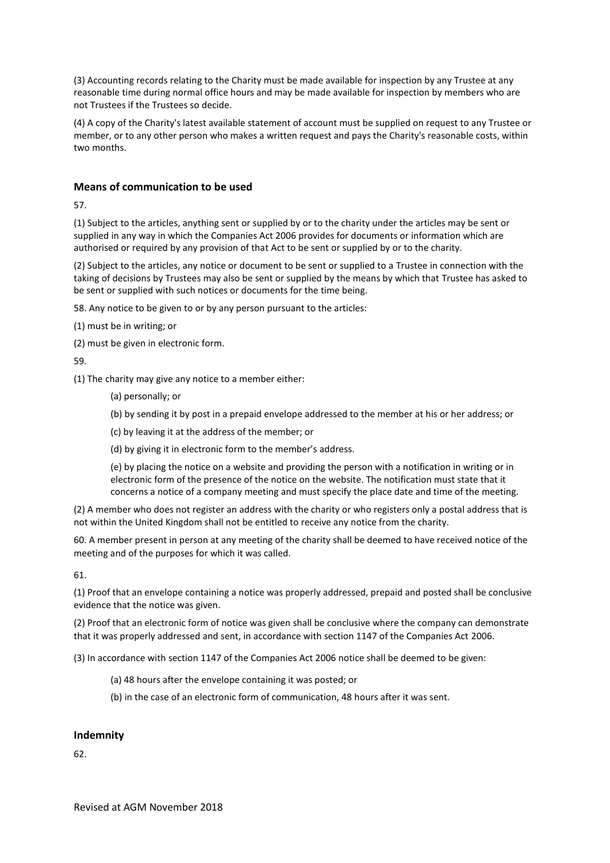(3) Accounting records relating to the Charity must be made available for inspection by any Trustee at any reasonable time during normal office hours and may be made available for inspection by members who are not Trustees if the Trustees so decide.

(4) A copy of the Charity's latest available statement of account must be supplied on request to any Trustee or member, or to any other person who makes a written request and pays the Charity's reasonable costs, within two months.

# **Means of communication to be used**

57.

(1) Subject to the articles, anything sent or supplied by or to the charity under the articles may be sent or supplied in any way in which the Companies Act 2006 provides for documents or information which are authorised or required by any provision of that Act to be sent or supplied by or to the charity.

(2) Subject to the articles, any notice or document to be sent or supplied to a Trustee in connection with the taking of decisions by Trustees may also be sent or supplied by the means by which that Trustee has asked to be sent or supplied with such notices or documents for the time being.

58. Any notice to be given to or by any person pursuant to the articles:

(1) must be in writing; or

(2) must be given in electronic form.

59.

(1) The charity may give any notice to a member either:

(a) personally; or

(b) by sending it by post in a prepaid envelope addressed to the member at his or her address; or

(c) by leaving it at the address of the member; or

(d) by giving it in electronic form to the member's address.

(e) by placing the notice on a website and providing the person with a notification in writing or in electronic form of the presence of the notice on the website. The notification must state that it concerns a notice of a company meeting and must specify the place date and time of the meeting.

(2) A member who does not register an address with the charity or who registers only a postal address that is not within the United Kingdom shall not be entitled to receive any notice from the charity.

60. A member present in person at any meeting of the charity shall be deemed to have received notice of the meeting and of the purposes for which it was called.

61.

(1) Proof that an envelope containing a notice was properly addressed, prepaid and posted shall be conclusive evidence that the notice was given.

(2) Proof that an electronic form of notice was given shall be conclusive where the company can demonstrate that it was properly addressed and sent, in accordance with section 1147 of the Companies Act 2006.

(3) In accordance with section 1147 of the Companies Act 2006 notice shall be deemed to be given:

(a) 48 hours after the envelope containing it was posted; or

(b) in the case of an electronic form of communication, 48 hours after it was sent.

# **Indemnity**

62.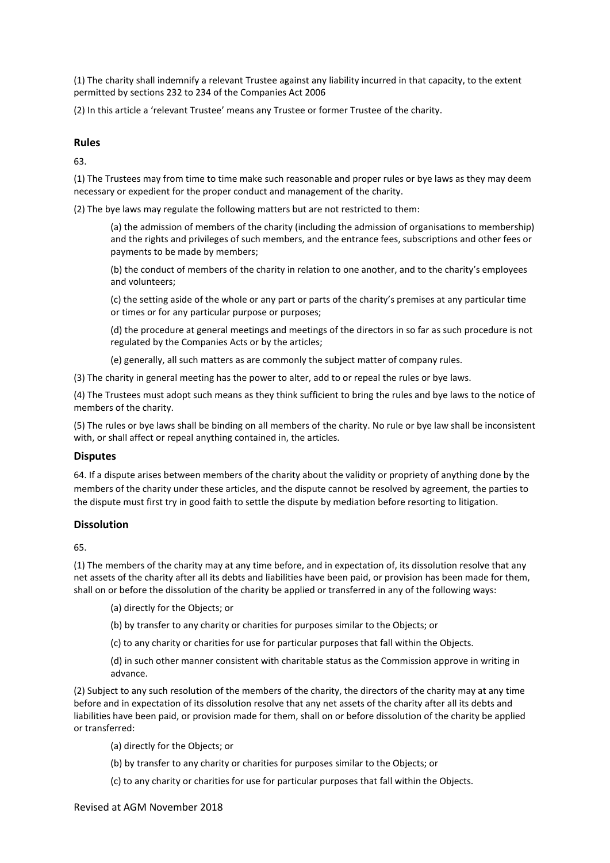(1) The charity shall indemnify a relevant Trustee against any liability incurred in that capacity, to the extent permitted by sections 232 to 234 of the Companies Act 2006

(2) In this article a 'relevant Trustee' means any Trustee or former Trustee of the charity.

### **Rules**

63.

(1) The Trustees may from time to time make such reasonable and proper rules or bye laws as they may deem necessary or expedient for the proper conduct and management of the charity.

(2) The bye laws may regulate the following matters but are not restricted to them:

(a) the admission of members of the charity (including the admission of organisations to membership) and the rights and privileges of such members, and the entrance fees, subscriptions and other fees or payments to be made by members;

(b) the conduct of members of the charity in relation to one another, and to the charity's employees and volunteers;

(c) the setting aside of the whole or any part or parts of the charity's premises at any particular time or times or for any particular purpose or purposes;

(d) the procedure at general meetings and meetings of the directors in so far as such procedure is not regulated by the Companies Acts or by the articles;

(e) generally, all such matters as are commonly the subject matter of company rules.

(3) The charity in general meeting has the power to alter, add to or repeal the rules or bye laws.

(4) The Trustees must adopt such means as they think sufficient to bring the rules and bye laws to the notice of members of the charity.

(5) The rules or bye laws shall be binding on all members of the charity. No rule or bye law shall be inconsistent with, or shall affect or repeal anything contained in, the articles.

### **Disputes**

64. If a dispute arises between members of the charity about the validity or propriety of anything done by the members of the charity under these articles, and the dispute cannot be resolved by agreement, the parties to the dispute must first try in good faith to settle the dispute by mediation before resorting to litigation.

### **Dissolution**

65.

(1) The members of the charity may at any time before, and in expectation of, its dissolution resolve that any net assets of the charity after all its debts and liabilities have been paid, or provision has been made for them, shall on or before the dissolution of the charity be applied or transferred in any of the following ways:

- (a) directly for the Objects; or
- (b) by transfer to any charity or charities for purposes similar to the Objects; or
- (c) to any charity or charities for use for particular purposes that fall within the Objects.
- (d) in such other manner consistent with charitable status as the Commission approve in writing in advance.

(2) Subject to any such resolution of the members of the charity, the directors of the charity may at any time before and in expectation of its dissolution resolve that any net assets of the charity after all its debts and liabilities have been paid, or provision made for them, shall on or before dissolution of the charity be applied or transferred:

(a) directly for the Objects; or

- (b) by transfer to any charity or charities for purposes similar to the Objects; or
- (c) to any charity or charities for use for particular purposes that fall within the Objects.